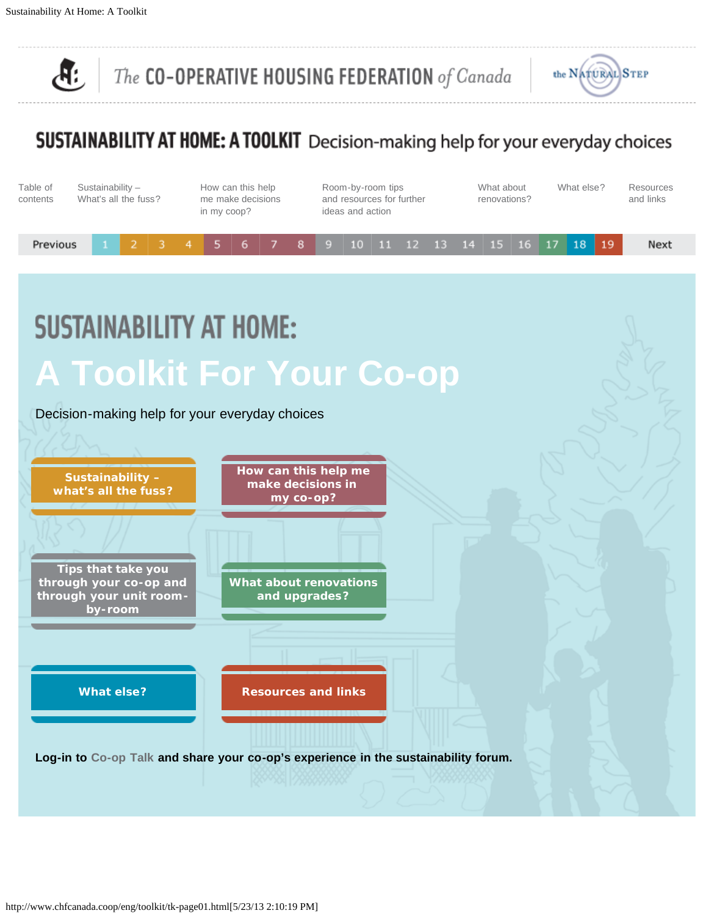<span id="page-0-0"></span> $\mathcal{A}$  :

The CO-OPERATIVE HOUSING FEDERATION of Canada



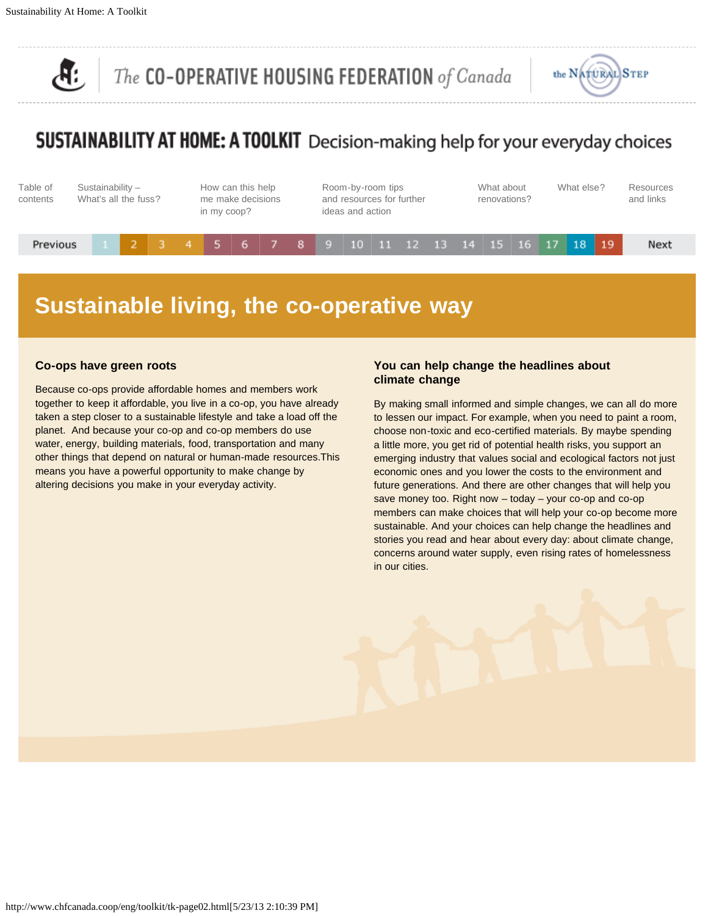<span id="page-1-0"></span>



## SUSTAINABILITY AT HOME: A TOOLKIT Decision-making help for your everyday choices



## **Sustainable living, the co-operative way**

#### **Co-ops have green roots**

Because co-ops provide affordable homes and members work together to keep it affordable, you live in a co-op, you have already taken a step closer to a sustainable lifestyle and take a load off the planet. And because your co-op and co-op members do use water, energy, building materials, food, transportation and many other things that depend on natural or human-made resources.This means you have a powerful opportunity to make change by altering decisions you make in your everyday activity.

#### **You can help change the headlines about climate change**

By making small informed and simple changes, we can all do more to lessen our impact. For example, when you need to paint a room, choose non-toxic and eco-certified materials. By maybe spending a little more, you get rid of potential health risks, you support an emerging industry that values social and ecological factors not just economic ones and you lower the costs to the environment and future generations. And there are other changes that will help you save money too. Right now – today – your co-op and co-op members can make choices that will help your co-op become more sustainable. And your choices can help change the headlines and stories you read and hear about every day: about climate change, concerns around water supply, even rising rates of homelessness in our cities.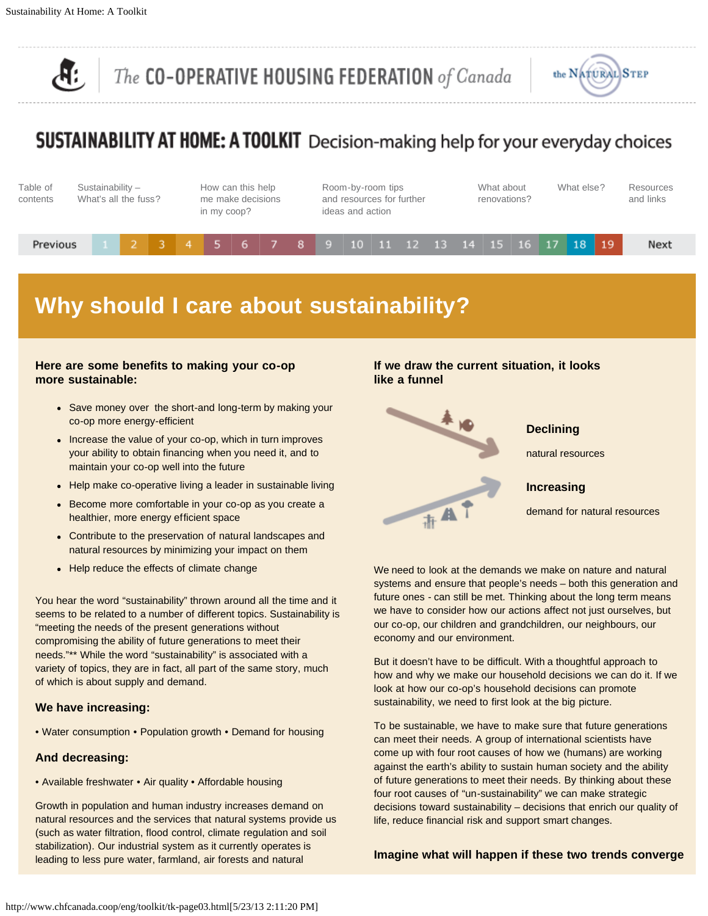

## **SUSTAINABILITY AT HOME: A TOOLKIT** Decision-making help for your everyday choices



## **Why should I care about sustainability?**

#### **Here are some benefits to making your co-op more sustainable:**

- Save money over the short-and long-term by making your co-op more energy-efficient
- Increase the value of your co-op, which in turn improves your ability to obtain financing when you need it, and to maintain your co-op well into the future
- Help make co-operative living a leader in sustainable living
- Become more comfortable in your co-op as you create a healthier, more energy efficient space
- Contribute to the preservation of natural landscapes and natural resources by minimizing your impact on them
- Help reduce the effects of climate change

You hear the word "sustainability" thrown around all the time and it seems to be related to a number of different topics. Sustainability is "meeting the needs of the present generations without compromising the ability of future generations to meet their needs."\*\* While the word "sustainability" is associated with a variety of topics, they are in fact, all part of the same story, much of which is about supply and demand.

#### **We have increasing:**

• Water consumption • Population growth • Demand for housing

#### **And decreasing:**

• Available freshwater • Air quality • Affordable housing

Growth in population and human industry increases demand on natural resources and the services that natural systems provide us (such as water filtration, flood control, climate regulation and soil stabilization). Our industrial system as it currently operates is leading to less pure water, farmland, air forests and natural

#### **If we draw the current situation, it looks like a funnel**



We need to look at the demands we make on nature and natural systems and ensure that people's needs – both this generation and future ones - can still be met. Thinking about the long term means we have to consider how our actions affect not just ourselves, but our co-op, our children and grandchildren, our neighbours, our economy and our environment.

But it doesn't have to be difficult. With a thoughtful approach to how and why we make our household decisions we can do it. If we look at how our co-op's household decisions can promote sustainability, we need to first look at the big picture.

To be sustainable, we have to make sure that future generations can meet their needs. A group of international scientists have come up with four root causes of how we (humans) are working against the earth's ability to sustain human society and the ability of future generations to meet their needs. By thinking about these four root causes of "un-sustainability" we can make strategic decisions toward sustainability – decisions that enrich our quality of life, reduce financial risk and support smart changes.

#### **Imagine what will happen if these two trends converge**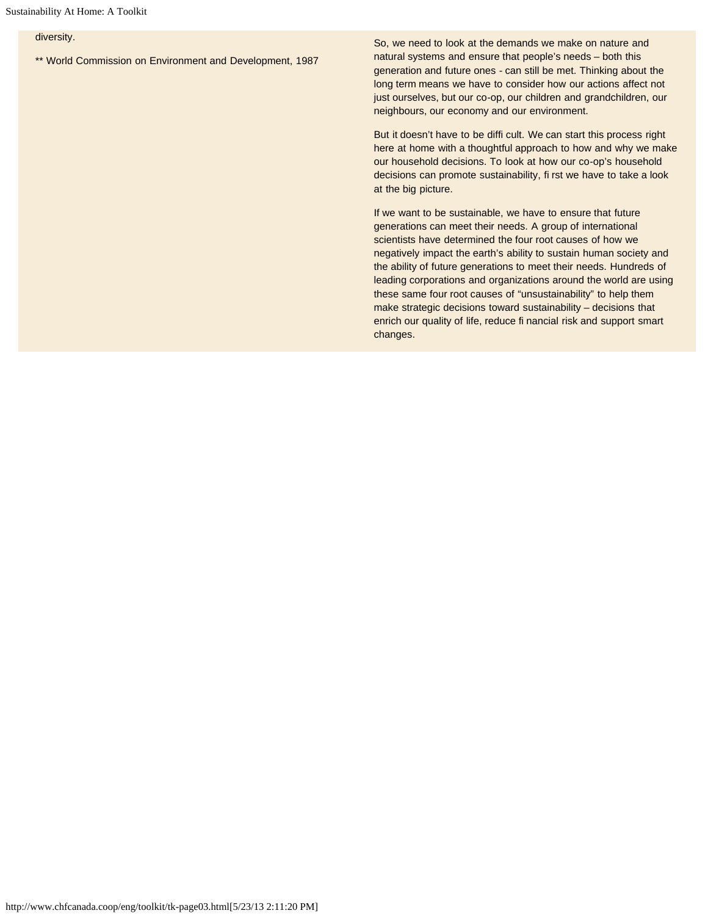#### diversity.

\*\* World Commission on Environment and Development, 1987

So, we need to look at the demands we make on nature and natural systems and ensure that people's needs – both this generation and future ones - can still be met. Thinking about the long term means we have to consider how our actions affect not just ourselves, but our co-op, our children and grandchildren, our neighbours, our economy and our environment.

But it doesn't have to be diffi cult. We can start this process right here at home with a thoughtful approach to how and why we make our household decisions. To look at how our co-op's household decisions can promote sustainability, fi rst we have to take a look at the big picture.

If we want to be sustainable, we have to ensure that future generations can meet their needs. A group of international scientists have determined the four root causes of how we negatively impact the earth's ability to sustain human society and the ability of future generations to meet their needs. Hundreds of leading corporations and organizations around the world are using these same four root causes of "unsustainability" to help them make strategic decisions toward sustainability – decisions that enrich our quality of life, reduce fi nancial risk and support smart changes.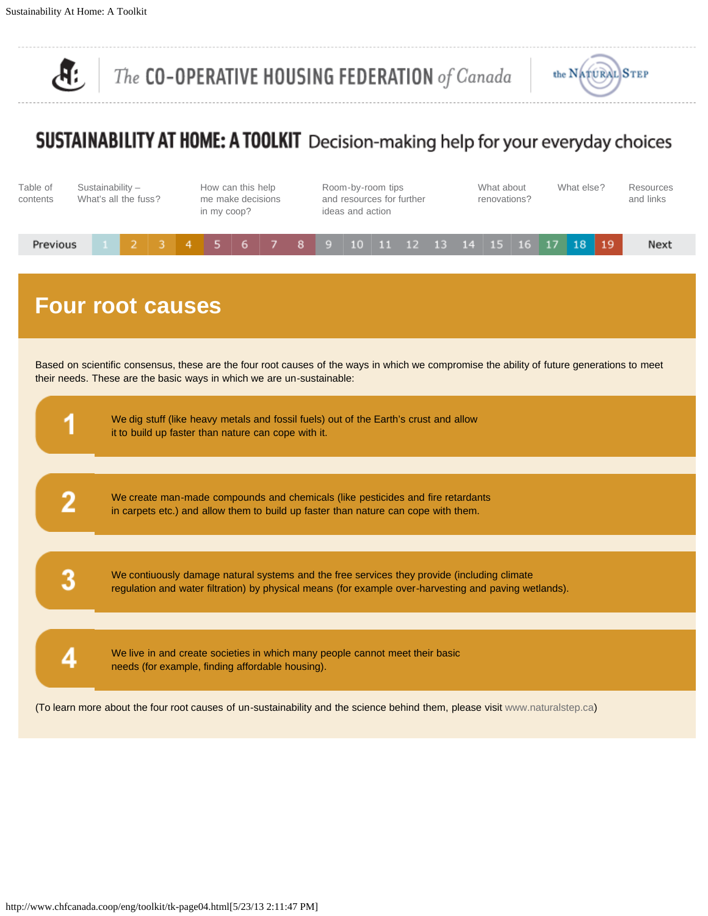$\overline{\mathcal{A}}$ 

The CO-OPERATIVE HOUSING FEDERATION of Canada



## SUSTAINABILITY AT HOME: A TOOLKIT Decision-making help for your everyday choices



### **Four root causes**

Based on scientific consensus, these are the four root causes of the ways in which we compromise the ability of future generations to meet their needs. These are the basic ways in which we are un-sustainable:

| We dig stuff (like heavy metals and fossil fuels) out of the Earth's crust and allow<br>it to build up faster than nature can cope with it.                                                          |
|------------------------------------------------------------------------------------------------------------------------------------------------------------------------------------------------------|
| We create man-made compounds and chemicals (like pesticides and fire retardants<br>in carpets etc.) and allow them to build up faster than nature can cope with them.                                |
| We contiuously damage natural systems and the free services they provide (including climate<br>regulation and water filtration) by physical means (for example over-harvesting and paving wetlands). |
| We live in and create societies in which many people cannot meet their basic<br>needs (for example, finding affordable housing).                                                                     |

(To learn more about the four root causes of un-sustainability and the science behind them, please visit [www.naturalstep.ca\)](http://www.naturalstep.ca/)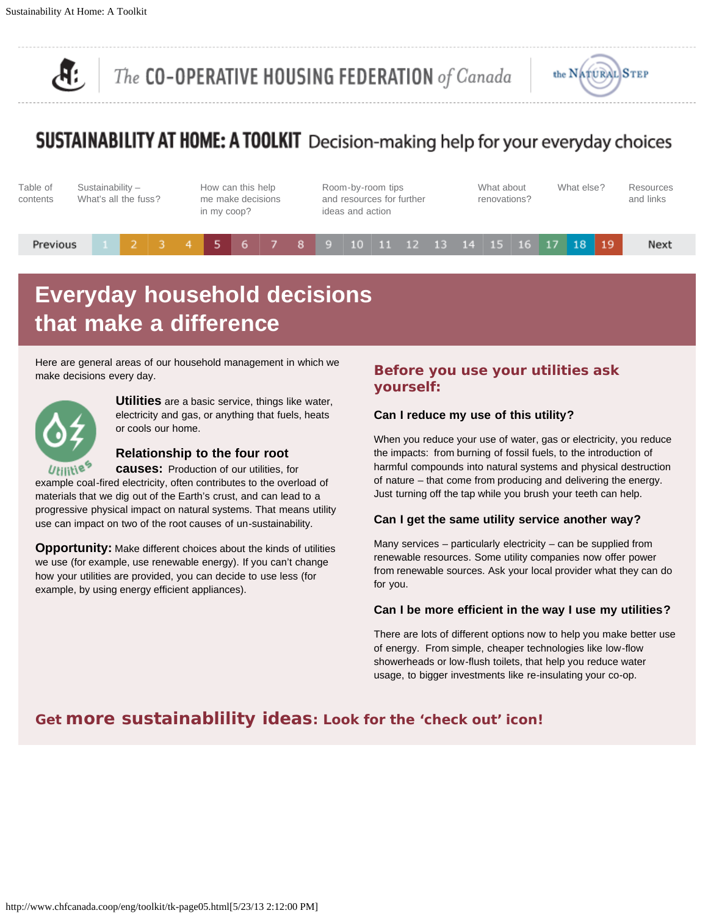<span id="page-6-0"></span>



## SUSTAINABILITY AT HOME: A TOOLKIT Decision-making help for your everyday choices



## **Everyday household decisions that make a difference**

Here are general areas of our household management in which we make decisions every day.



**Utilities** are a basic service, things like water, electricity and gas, or anything that fuels, heats or cools our home.

#### **Relationship to the four root**

**causes:** Production of our utilities, for

example coal-fired electricity, often contributes to the overload of materials that we dig out of the Earth's crust, and can lead to a progressive physical impact on natural systems. That means utility use can impact on two of the root causes of un-sustainability.

**Opportunity:** Make different choices about the kinds of utilities we use (for example, use renewable energy). If you can't change how your utilities are provided, you can decide to use less (for example, by using energy efficient appliances).

#### **Before you use your utilities ask yourself:**

#### **Can I reduce my use of this utility?**

When you reduce your use of water, gas or electricity, you reduce the impacts: from burning of fossil fuels, to the introduction of harmful compounds into natural systems and physical destruction of nature – that come from producing and delivering the energy. Just turning off the tap while you brush your teeth can help.

#### **Can I get the same utility service another way?**

Many services – particularly electricity – can be supplied from renewable resources. Some utility companies now offer power from renewable sources. Ask your local provider what they can do for you.

#### **Can I be more efficient in the way I use my utilities?**

There are lots of different options now to help you make better use of energy. From simple, cheaper technologies like low-flow showerheads or low-flush toilets, that help you reduce water usage, to bigger investments like re-insulating your co-op.

#### **Get more sustainablility ideas: Look for the 'check out' icon!**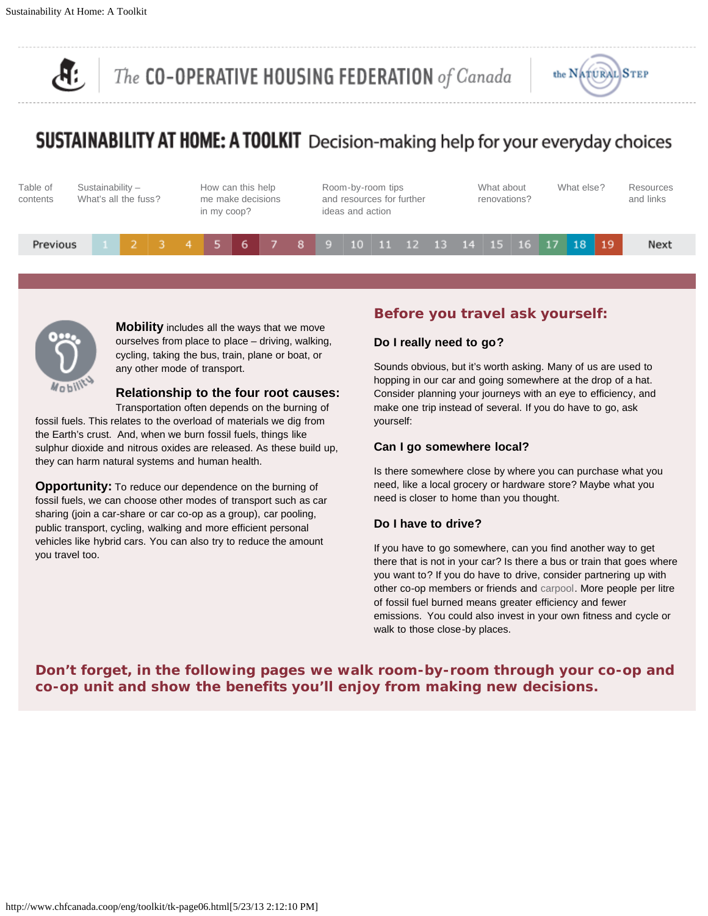

## **SUSTAINABILITY AT HOME: A TOOLKIT** Decision-making help for your everyday choices





**Mobility** includes all the ways that we move ourselves from place to place – driving, walking, cycling, taking the bus, train, plane or boat, or any other mode of transport.

#### **Relationship to the four root causes:**

Transportation often depends on the burning of fossil fuels. This relates to the overload of materials we dig from the Earth's crust. And, when we burn fossil fuels, things like sulphur dioxide and nitrous oxides are released. As these build up, they can harm natural systems and human health.

**Opportunity:** To reduce our dependence on the burning of fossil fuels, we can choose other modes of transport such as car sharing (join a car-share or car co-op as a group), car pooling, public transport, cycling, walking and more efficient personal vehicles like hybrid cars. You can also try to reduce the amount you travel too.

#### **Before you travel ask yourself:**

#### **Do I really need to go?**

Sounds obvious, but it's worth asking. Many of us are used to hopping in our car and going somewhere at the drop of a hat. Consider planning your journeys with an eye to efficiency, and make one trip instead of several. If you do have to go, ask yourself:

#### **Can I go somewhere local?**

Is there somewhere close by where you can purchase what you need, like a local grocery or hardware store? Maybe what you need is closer to home than you thought.

#### **Do I have to drive?**

If you have to go somewhere, can you find another way to get there that is not in your car? Is there a bus or train that goes where you want to? If you do have to drive, consider partnering up with other co-op members or friends and [carpool](http://www.carpool.ca/). More people per litre of fossil fuel burned means greater efficiency and fewer emissions. You could also invest in your own fitness and cycle or walk to those close-by places.

**Don't forget, in the following pages we walk room-by-room through your co-op and co-op unit and show the benefits you'll enjoy from making new decisions.**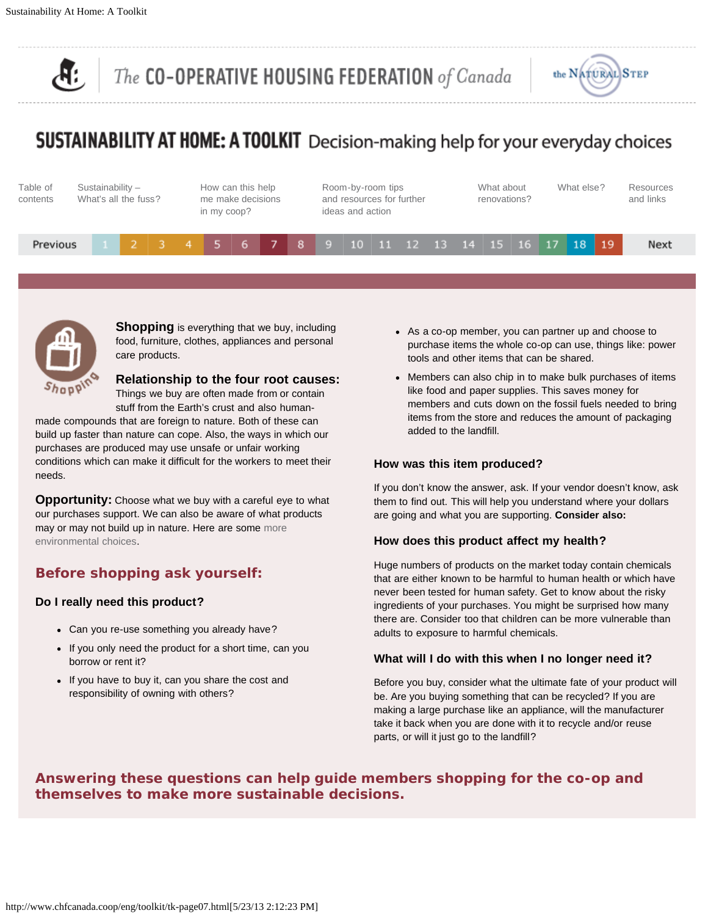

## **SUSTAINABILITY AT HOME: A TOOLKIT** Decision-making help for your everyday choices





**Shopping** is everything that we buy, including food, furniture, clothes, appliances and personal care products.

**Relationship to the four root causes:** Things we buy are often made from or contain

stuff from the Earth's crust and also human-

made compounds that are foreign to nature. Both of these can build up faster than nature can cope. Also, the ways in which our purchases are produced may use unsafe or unfair working conditions which can make it difficult for the workers to meet their needs.

**Opportunity:** Choose what we buy with a careful eye to what our purchases support. We can also be aware of what products may or may not build up in nature. Here are some [more](http://www.environmentalchoice.com/) [environmental choices.](http://www.environmentalchoice.com/)

#### **Before shopping ask yourself:**

#### **Do I really need this product?**

- Can you re-use something you already have?
- If you only need the product for a short time, can you borrow or rent it?
- If you have to buy it, can you share the cost and responsibility of owning with others?
- As a co-op member, you can partner up and choose to purchase items the whole co-op can use, things like: power tools and other items that can be shared.
- Members can also chip in to make bulk purchases of items like food and paper supplies. This saves money for members and cuts down on the fossil fuels needed to bring items from the store and reduces the amount of packaging added to the landfill.

#### **How was this item produced?**

If you don't know the answer, ask. If your vendor doesn't know, ask them to find out. This will help you understand where your dollars are going and what you are supporting. **Consider also:**

#### **How does this product affect my health?**

Huge numbers of products on the market today contain chemicals that are either known to be harmful to human health or which have never been tested for human safety. Get to know about the risky ingredients of your purchases. You might be surprised how many there are. Consider too that children can be more vulnerable than adults to exposure to harmful chemicals.

#### **What will I do with this when I no longer need it?**

Before you buy, consider what the ultimate fate of your product will be. Are you buying something that can be recycled? If you are making a large purchase like an appliance, will the manufacturer take it back when you are done with it to recycle and/or reuse parts, or will it just go to the landfill?

#### **Answering these questions can help guide members shopping for the co-op and themselves to make more sustainable decisions.**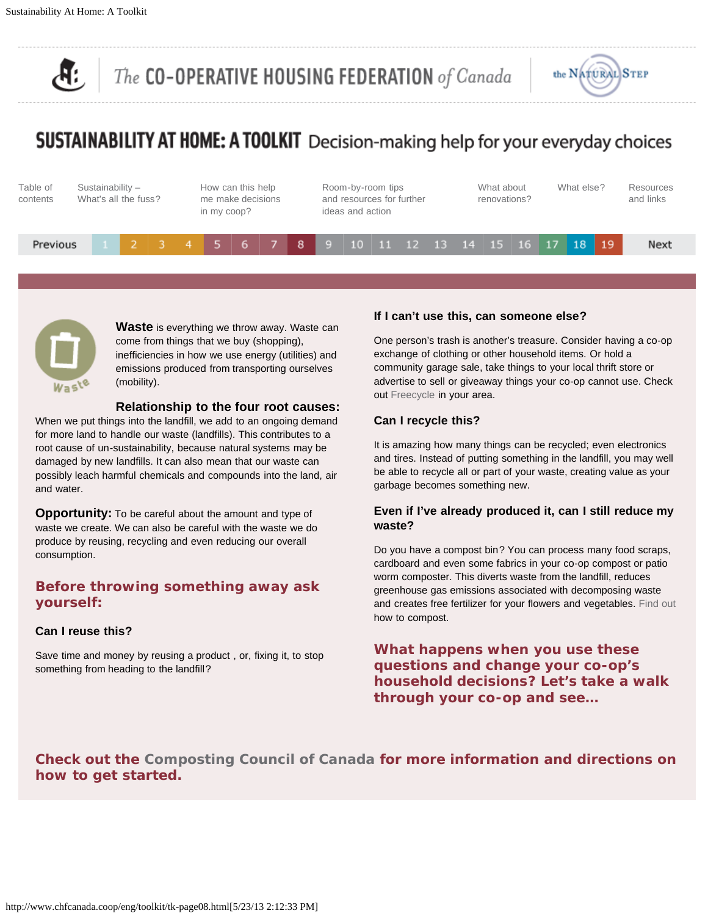

## SUSTAINABILITY AT HOME: A TOOLKIT Decision-making help for your everyday choices





**Waste** is everything we throw away. Waste can come from things that we buy (shopping), inefficiencies in how we use energy (utilities) and emissions produced from transporting ourselves (mobility).

#### **Relationship to the four root causes:**

When we put things into the landfill, we add to an ongoing demand for more land to handle our waste (landfills). This contributes to a root cause of un-sustainability, because natural systems may be damaged by new landfills. It can also mean that our waste can possibly leach harmful chemicals and compounds into the land, air and water.

**Opportunity:** To be careful about the amount and type of waste we create. We can also be careful with the waste we do produce by reusing, recycling and even reducing our overall consumption.

#### **Before throwing something away ask yourself:**

#### **Can I reuse this?**

Save time and money by reusing a product , or, fixing it, to stop something from heading to the landfill?

#### **If I can't use this, can someone else?**

One person's trash is another's treasure. Consider having a co-op exchange of clothing or other household items. Or hold a community garage sale, take things to your local thrift store or advertise to sell or giveaway things your co-op cannot use. Check out [Freecycle](http://www.freecycle.org/groups/canada/) in your area.

#### **Can I recycle this?**

It is amazing how many things can be recycled; even electronics and tires. Instead of putting something in the landfill, you may well be able to recycle all or part of your waste, creating value as your garbage becomes something new.

#### **Even if I've already produced it, can I still reduce my waste?**

Do you have a compost bin? You can process many food scraps, cardboard and even some fabrics in your co-op compost or patio worm composter. This diverts waste from the landfill, reduces greenhouse gas emissions associated with decomposing waste and creates free fertilizer for your flowers and vegetables. [Find out](http://www.compost.org/backyard.html) how to compost.

#### **What happens when you use these questions and change your co-op's household decisions? Let's take a walk through your co-op and see…**

#### **Check out the [Composting Council of Canada](http://www.chfcanada.coop/eng/eng/toolkit/www.compost.org/backyard.html) for more information and directions on how to get started.**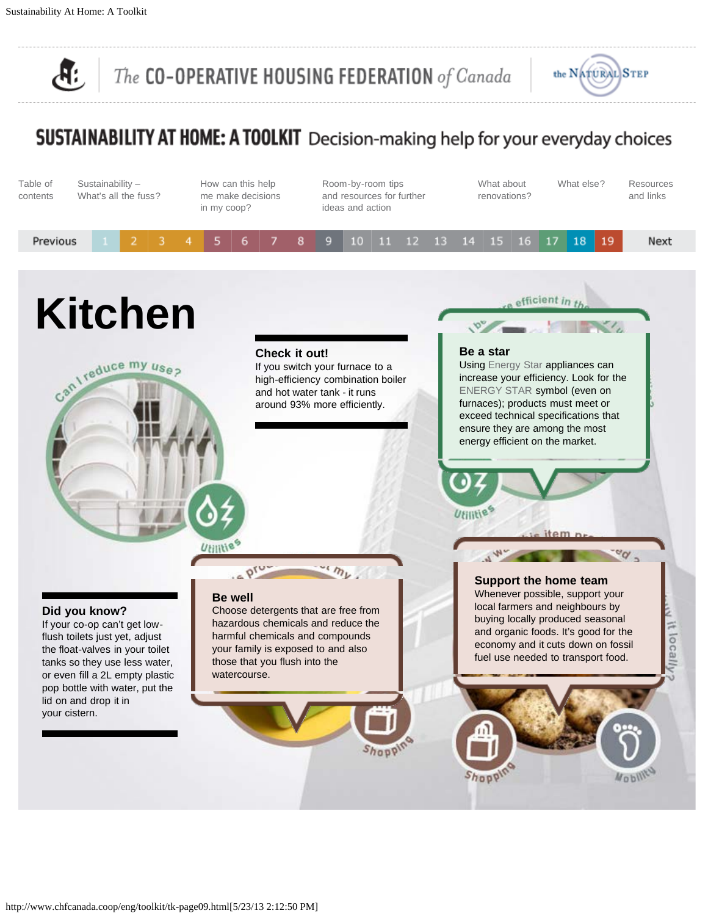<span id="page-10-0"></span>Æ.

The CO-OPERATIVE HOUSING FEDERATION of Canada



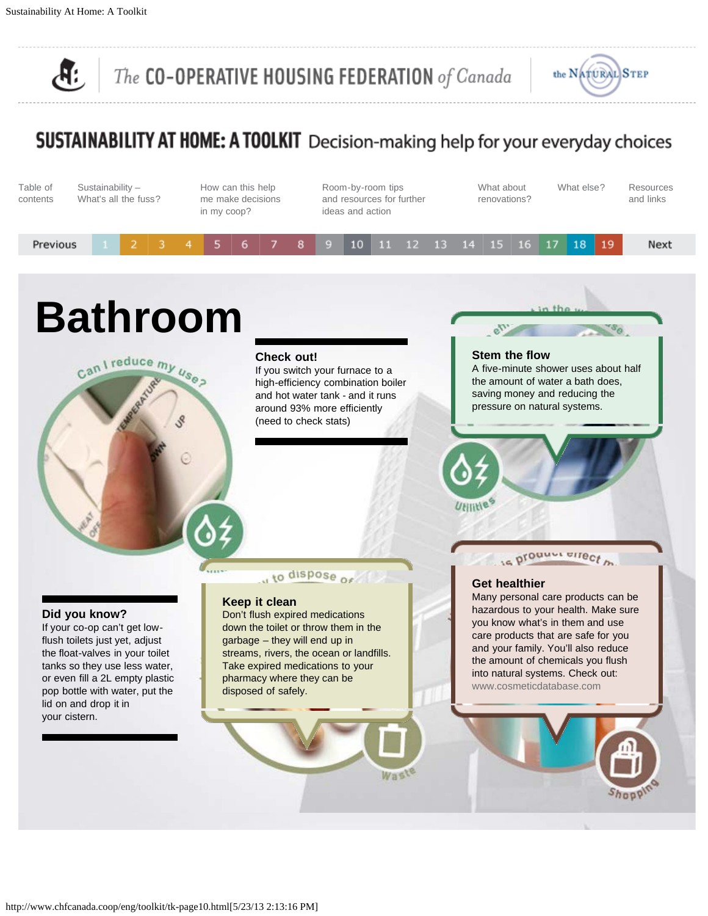<span id="page-11-0"></span>Æ

The CO-OPERATIVE HOUSING FEDERATION of Canada



## SUSTAINABILITY AT HOME: A TOOLKIT Decision-making help for your everyday choices

| Table of<br>contents | Sustainability-<br>What's all the fuss? |  | How can this help<br>me make decisions<br>in my coop? |  |  | Room-by-room tips<br>and resources for further<br>ideas and action |  |                                       | What about<br>renovations? |  | What else? | <b>Resources</b><br>and links |
|----------------------|-----------------------------------------|--|-------------------------------------------------------|--|--|--------------------------------------------------------------------|--|---------------------------------------|----------------------------|--|------------|-------------------------------|
| Previous             |                                         |  |                                                       |  |  |                                                                    |  | 6 7 8 9 10 11 12 13 14 15 16 17 18 19 |                            |  |            | Next                          |

## **Bathroom**

Can I reduce my uses

#### **Check out!**

If you switch your furnace to a high-efficiency combination boiler and hot water tank - and it runs around 93% more efficiently (need to check stats)

**Stem the flow** [A five-minute shower uses about half](#page-11-0)

 $e^{iT}$ 

the amount of water a bath does, saving money and reducing the pressure on natural systems.

#### **Did you know?**

I[f your co-op can't get low](#page-11-0)flush toilets just yet, adjust the float-valves in your toilet tanks so they use less water, or even fill a 2L empty plastic pop bottle with water, put the lid on and drop it in your cistern.

#### to dispose of

#### **Keep it clean**

Don't flush expired medications down the toilet or throw them in the garbage – they will end up in [streams, rivers, the ocean or landfills.](#page-11-0) Take expired medications to your pharmacy where they can be disposed of safely.

Wast

#### **Get healthier**

VEITTLE

Many personal care products can be [hazardous to your health. Make sure](#page-11-0) you know what's in them and use care products that are safe for you and your family. You'll also reduce the amount of chemicals you flush into natural systems. Check out: [www.cosmeticdatabase.com](http://www.cosmeticdatabase.com/)

is prounded by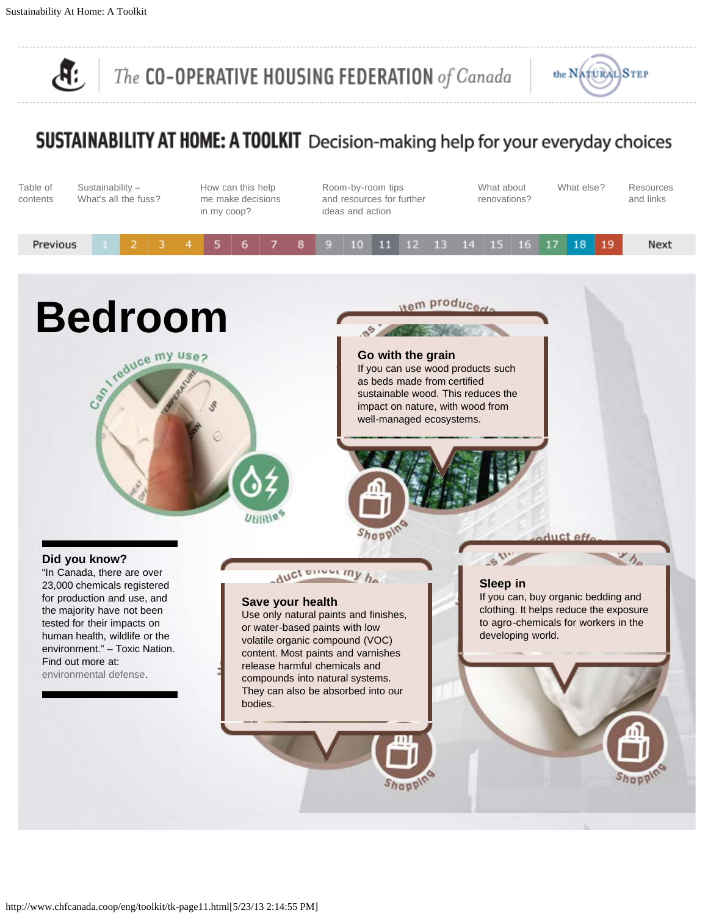<span id="page-12-0"></span>௹

The CO-OPERATIVE HOUSING FEDERATION of Canada



| Table of<br>contents |  | Sustainability-<br>What's all the fuss? |  | How can this help<br>me make decisions<br>in my coop? |  |  | ideas and action | Room-by-room tips<br>and resources for further |  | What about<br>renovations? |  | What else? | Resources<br>and links |
|----------------------|--|-----------------------------------------|--|-------------------------------------------------------|--|--|------------------|------------------------------------------------|--|----------------------------|--|------------|------------------------|
| Previous             |  |                                         |  | 2 3 4 5 6 7 8 9 10 11 12 13 14 1 <u>5 16</u> 17 18 19 |  |  |                  |                                                |  |                            |  |            | Next                   |
|                      |  |                                         |  |                                                       |  |  |                  |                                                |  |                            |  |            |                        |

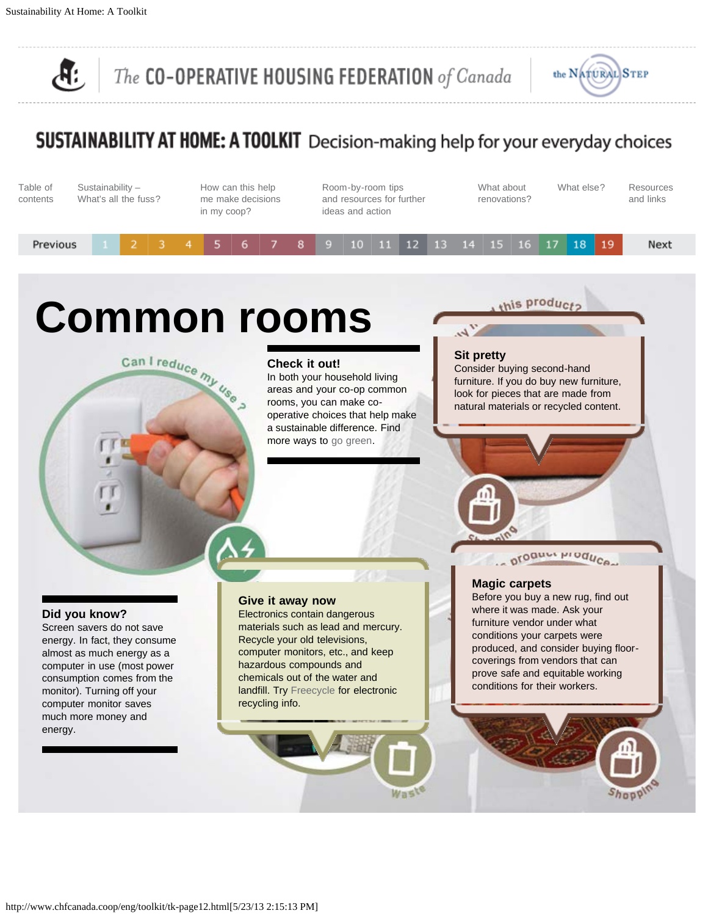<span id="page-13-0"></span>Æ

The CO-OPERATIVE HOUSING FEDERATION of Canada



## SUSTAINABILITY AT HOME: A TOOLKIT Decision-making help for your everyday choices

| Table of<br>contents | Sustainability $-$<br>What's all the fuss? |  | How can this help<br>me make decisions<br>in my coop? |  |  | Room-by-room tips<br>and resources for further<br>ideas and action |  |                                       |  |  | What about<br>renovations? |  | What else? | Resources<br>and links |      |
|----------------------|--------------------------------------------|--|-------------------------------------------------------|--|--|--------------------------------------------------------------------|--|---------------------------------------|--|--|----------------------------|--|------------|------------------------|------|
| Previous             |                                            |  |                                                       |  |  |                                                                    |  | 6 7 8 9 10 11 12 13 14 15 16 17 18 19 |  |  |                            |  |            |                        | Next |

# **Common rooms**<br>
Can I reduce  $m_{\nu}$  Check it out!<br>
In both your household<br>
areas and your co-op c



In both your household living areas and your co-op common rooms, you can make cooperative choices that help make a sustainable difference. Find more ways to [go green.](http://planetgreen.discovery.com/go-green)

 $\mathcal{L}_{\mathcal{P}}$ **Sit pretty**

this product:

Consider buying second-hand [furniture. If you do buy new furniture,](#page-13-0) look for pieces that are made from natural materials or recycled content.

#### **Did you know?**

Screen savers do not save [energy. In fact, they consume](#page-13-0) almost as much energy as a computer in use (most power consumption comes from the monitor). Turning off your computer monitor saves much more money and energy.

#### **Give it away now**

Electronics contain dangerous [materials such as lead and mercury.](#page-13-0) Recycle your old televisions, computer monitors, etc., and keep hazardous compounds and chemicals out of the water and landfill. Try [Freecycle](http://www.freecycle.org/groups/canada/) for electronic recycling info.

#### **Magic carpets**

Before you buy a new rug, find out where it was made. Ask your furniture vendor under what conditions your carpets were [produced, and consider buying floor](#page-13-0)coverings from vendors that can prove safe and equitable working conditions for their workers.

oroguer progues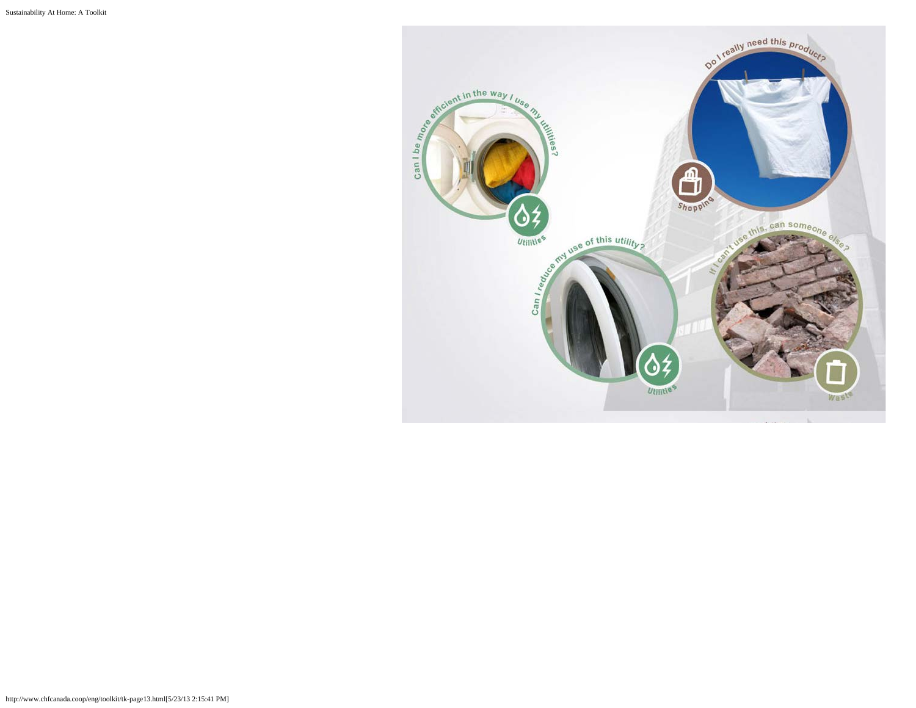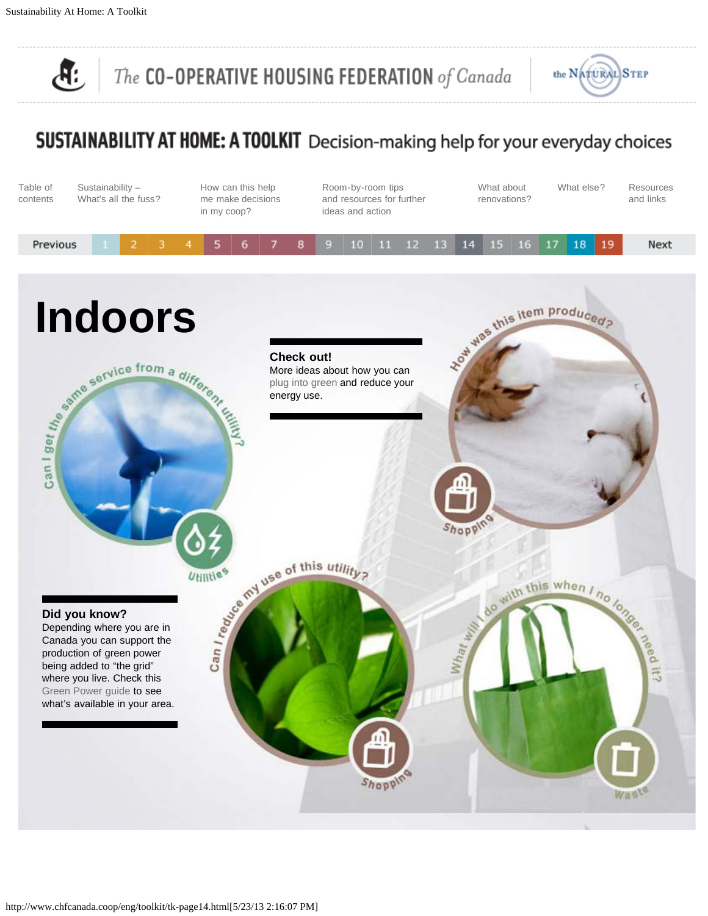<span id="page-15-0"></span> $\mathbf{F}$ 

The CO-OPERATIVE HOUSING FEDERATION of Canada



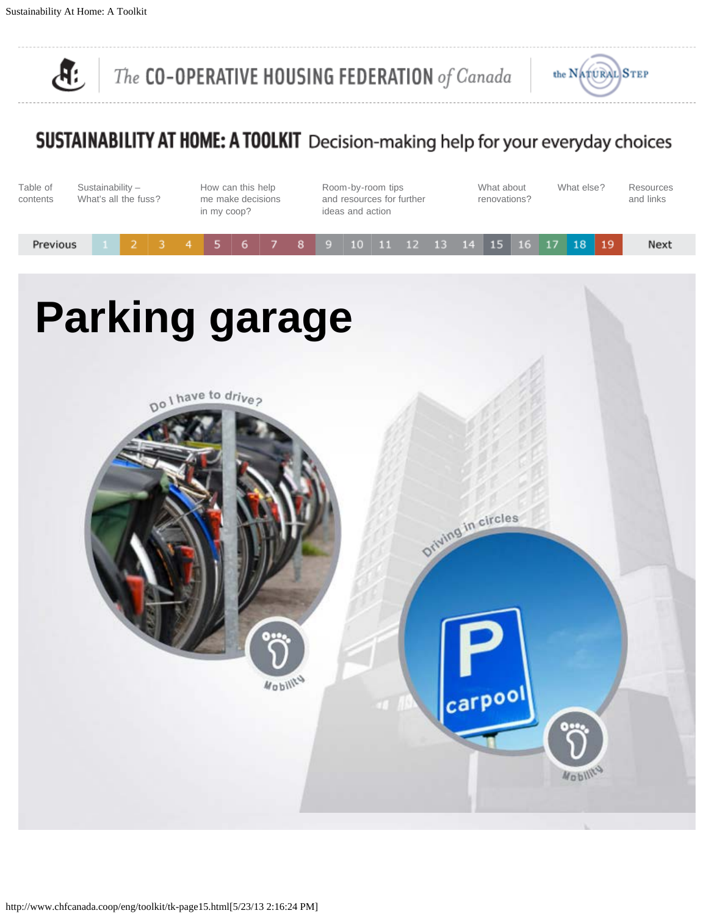$\mathbf{F}$ 

The CO-OPERATIVE HOUSING FEDERATION of Canada



| Table of<br>contents | Sustainability -<br>What's all the fuss? | How can this help<br>me make decisions<br>in my coop? | Room-by-room tips<br>and resources for further<br>ideas and action | What about<br>renovations? | What else?     | Resources<br>and links |
|----------------------|------------------------------------------|-------------------------------------------------------|--------------------------------------------------------------------|----------------------------|----------------|------------------------|
| Previous             | з<br>2                                   | 6<br>8                                                | 10<br>11<br>12<br>13<br>9                                          | 15<br>16<br>14             | 17<br>18<br>19 | Next                   |
|                      |                                          | <b>Parking garage</b>                                 |                                                                    |                            |                |                        |
|                      |                                          | Do I have to drive?                                   |                                                                    |                            |                |                        |
|                      |                                          |                                                       |                                                                    |                            |                |                        |
|                      |                                          |                                                       |                                                                    | Driving in circles         |                |                        |
|                      |                                          |                                                       |                                                                    |                            |                |                        |
|                      |                                          | Wobility                                              |                                                                    | carpool                    |                |                        |
|                      |                                          |                                                       |                                                                    |                            | 0              |                        |
|                      |                                          |                                                       |                                                                    |                            | Woblit         |                        |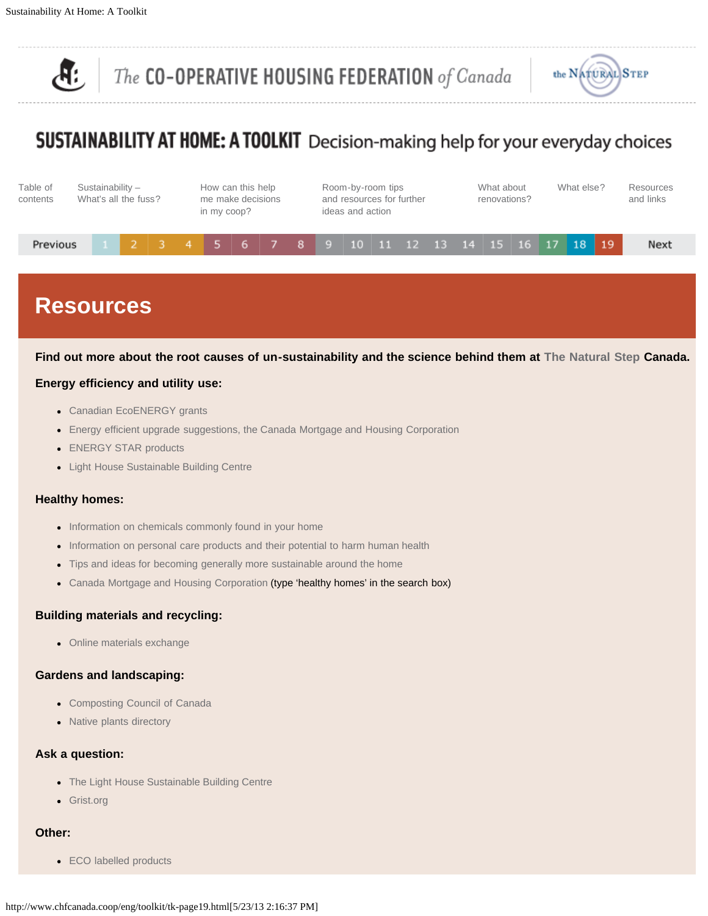

## <span id="page-17-0"></span>SUSTAINABILITY AT HOME: A TOOLKIT Decision-making help for your everyday choices



## **Resources**

#### **Find out more about the root causes of un-sustainability and the science behind them at [The Natural Step](http://www.naturalstep.ca/) Canada.**

#### **Energy efficiency and utility use:**

- [Canadian EcoENERGY grants](http://www.oee.nrcan.gc.ca/corporate/incentives.cfm?#STAR)
- [Energy efficient upgrade suggestions, the Canada Mortgage and Housing Corporation](http://www.cmhc.ca/en/co/renoho/)
- [ENERGY STAR products](http://www.oee.nrcan.gc.ca/energystar)
- [Light House Sustainable Building Centre](http://www.sustainablebuildingcentre.com/energy/welcome)

#### **Healthy homes:**

- [Information on chemicals commonly found in your home](http://www.environmentaldefence.ca/toxicnation/pledge/index.php)
- [Information on personal care products and their potential to harm human health](http://www.cosmeticdatabase.com/)
- [Tips and ideas for becoming generally more sustainable around the home](http://www.treehugger.com/gogreen.php)
- [Canada Mortgage and Housing Corporation](http://www.cmhc.ca/) (type 'healthy homes' in the search box)

#### **Building materials and recycling:**

• [Online materials exchange](http://www.freecycle.org/groups/canada/)

#### **Gardens and landscaping:**

- [Composting Council of Canada](http://www.compost.org/backyard.html)
- [Native plants directory](http://www.evergreen.ca/nativeplants)

#### **Ask a question:**

- [The Light House Sustainable Building Centre](http://www.sustainablebuildingcentre.com/resources/just_ask)
- [Grist.org](http://www.grist.org/wakeup/green-living.html)

#### **Other:**

• [ECO labelled products](http://www.ecologo.org/en/)